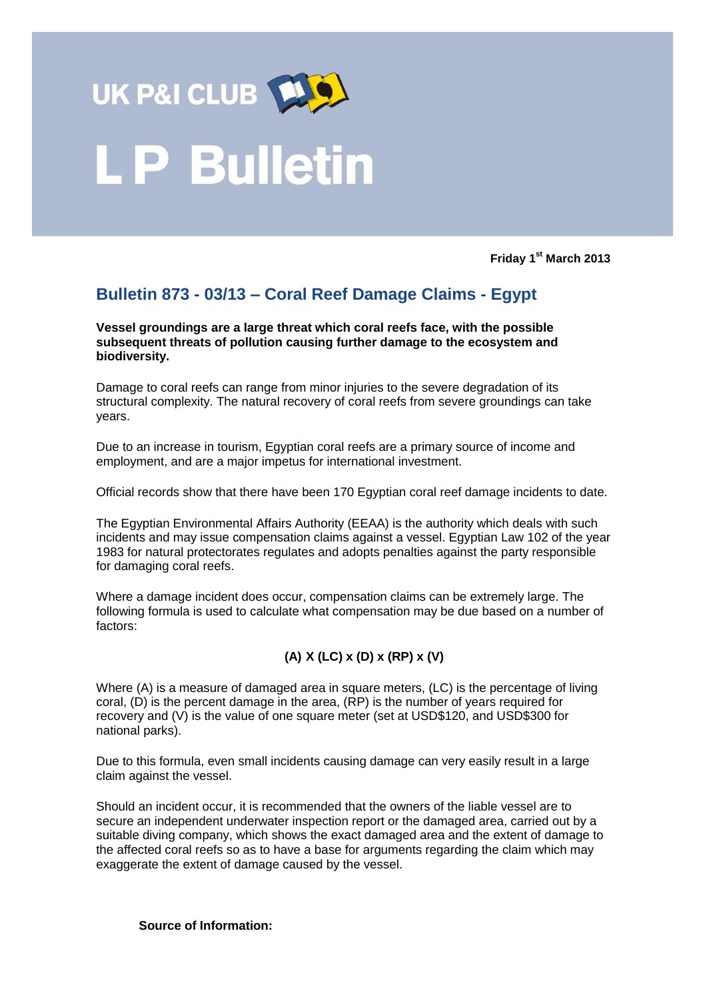

## **P Bulletin**

**Friday 1 st March 2013**

## **Bulletin 873 - 03/13 – Coral Reef Damage Claims - Egypt**

**Vessel groundings are a large threat which coral reefs face, with the possible subsequent threats of pollution causing further damage to the ecosystem and biodiversity.** 

Damage to coral reefs can range from minor injuries to the severe degradation of its structural complexity. The natural recovery of coral reefs from severe groundings can take years.

Due to an increase in tourism, Egyptian coral reefs are a primary source of income and employment, and are a major impetus for international investment.

Official records show that there have been 170 Egyptian coral reef damage incidents to date.

The Egyptian Environmental Affairs Authority (EEAA) is the authority which deals with such incidents and may issue compensation claims against a vessel. Egyptian Law 102 of the year 1983 for natural protectorates regulates and adopts penalties against the party responsible for damaging coral reefs.

Where a damage incident does occur, compensation claims can be extremely large. The following formula is used to calculate what compensation may be due based on a number of factors:

## **(A) X (LC) x (D) x (RP) x (V)**

Where (A) is a measure of damaged area in square meters, (LC) is the percentage of living coral, (D) is the percent damage in the area, (RP) is the number of years required for recovery and (V) is the value of one square meter (set at USD\$120, and USD\$300 for national parks).

Due to this formula, even small incidents causing damage can very easily result in a large claim against the vessel.

Should an incident occur, it is recommended that the owners of the liable vessel are to secure an independent underwater inspection report or the damaged area, carried out by a suitable diving company, which shows the exact damaged area and the extent of damage to the affected coral reefs so as to have a base for arguments regarding the claim which may exaggerate the extent of damage caused by the vessel.

## **Source of Information:**